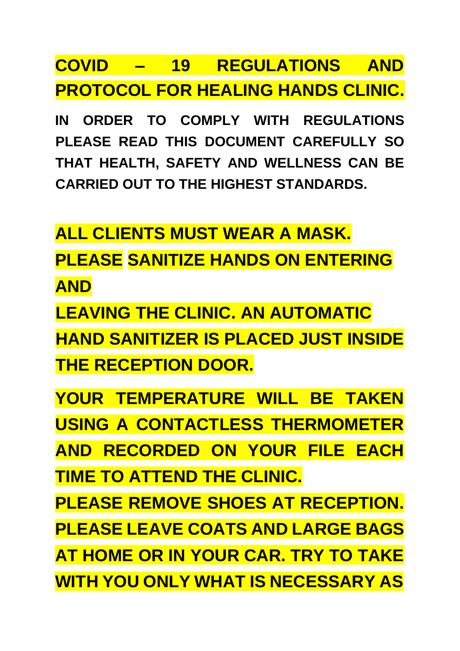## **PROTOCOL FOR HEALING HANDS CLINIC. COVID – 19 REGULATIONS AND**

**IN ORDER TO COMPLY WITH REGULATIONS PLEASE READ THIS DOCUMENT CAREFULLY SO THAT HEALTH, SAFETY AND WELLNESS CAN BE CARRIED OUT TO THE HIGHEST STANDARDS.**

**ALL CLIENTS MUST WEAR A MASK. PLEASE SANITIZE HANDS ON ENTERING AND**

**LEAVING THE CLINIC. AN AUTOMATIC HAND SANITIZER IS PLACED JUST INSIDE THE RECEPTION DOOR.**

**YOUR TEMPERATURE WILL BE TAKEN USING A CONTACTLESS THERMOMETER AND RECORDED ON YOUR FILE EACH TIME TO ATTEND THE CLINIC.**

**PLEASE REMOVE SHOES AT RECEPTION. PLEASE LEAVE COATS AND LARGE BAGS AT HOME OR IN YOUR CAR. TRY TO TAKE WITH YOU ONLY WHAT IS NECESSARY AS**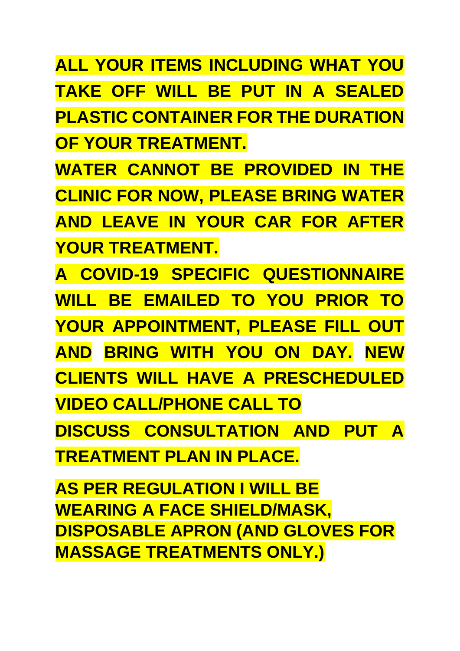**ALL YOUR ITEMS INCLUDING WHAT YOU TAKE OFF WILL BE PUT IN A SEALED PLASTIC CONTAINER FOR THE DURATION OF YOUR TREATMENT.**

**WATER CANNOT BE PROVIDED IN THE CLINIC FOR NOW, PLEASE BRING WATER AND LEAVE IN YOUR CAR FOR AFTER YOUR TREATMENT.**

**A COVID-19 SPECIFIC QUESTIONNAIRE WILL BE EMAILED TO YOU PRIOR TO YOUR APPOINTMENT, PLEASE FILL OUT AND BRING WITH YOU ON DAY. NEW CLIENTS WILL HAVE A PRESCHEDULED VIDEO CALL/PHONE CALL TO DISCUSS CONSULTATION AND PUT A TREATMENT PLAN IN PLACE.**

**AS PER REGULATION I WILL BE WEARING A FACE SHIELD/MASK, DISPOSABLE APRON (AND GLOVES FOR MASSAGE TREATMENTS ONLY.)**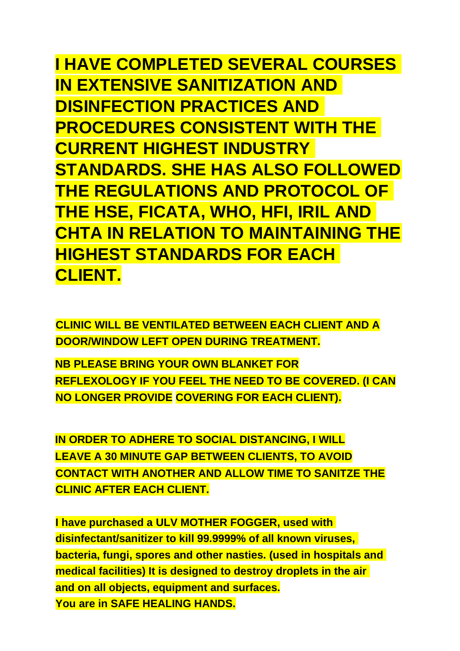**I HAVE COMPLETED SEVERAL COURSES IN EXTENSIVE SANITIZATION AND DISINFECTION PRACTICES AND PROCEDURES CONSISTENT WITH THE CURRENT HIGHEST INDUSTRY STANDARDS. SHE HAS ALSO FOLLOWED THE REGULATIONS AND PROTOCOL OF THE HSE, FICATA, WHO, HFI, IRIL AND CHTA IN RELATION TO MAINTAINING THE HIGHEST STANDARDS FOR EACH CLIENT.**

**CLINIC WILL BE VENTILATED BETWEEN EACH CLIENT AND A DOOR/WINDOW LEFT OPEN DURING TREATMENT.**

**NB PLEASE BRING YOUR OWN BLANKET FOR REFLEXOLOGY IF YOU FEEL THE NEED TO BE COVERED. (I CAN NO LONGER PROVIDE COVERING FOR EACH CLIENT).**

**IN ORDER TO ADHERE TO SOCIAL DISTANCING, I WILL LEAVE A 30 MINUTE GAP BETWEEN CLIENTS, TO AVOID CONTACT WITH ANOTHER AND ALLOW TIME TO SANITZE THE CLINIC AFTER EACH CLIENT.**

**I have purchased a ULV MOTHER FOGGER, used with disinfectant/sanitizer to kill 99.9999% of all known viruses, bacteria, fungi, spores and other nasties. (used in hospitals and medical facilities) It is designed to destroy droplets in the air and on all objects, equipment and surfaces. You are in SAFE HEALING HANDS.**